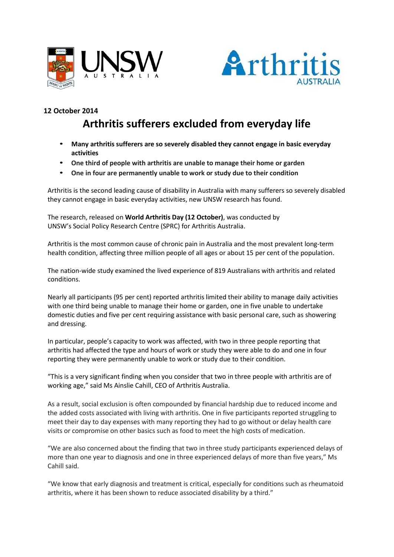



## **12 October 2014**

## **Arthritis sufferers excluded from everyday life**

- **Many arthritis sufferers are so severely disabled they cannot engage in basic everyday activities**
- **One third of people with arthritis are unable to manage their home or garden**
- **One in four are permanently unable to work or study due to their condition**

Arthritis is the second leading cause of disability in Australia with many sufferers so severely disabled they cannot engage in basic everyday activities, new UNSW research has found.

The research, released on **World Arthritis Day (12 October)**, was conducted by UNSW's Social Policy Research Centre (SPRC) for Arthritis Australia.

Arthritis is the most common cause of chronic pain in Australia and the most prevalent long-term health condition, affecting three million people of all ages or about 15 per cent of the population.

The nation-wide study examined the lived experience of 819 Australians with arthritis and related conditions.

Nearly all participants (95 per cent) reported arthritis limited their ability to manage daily activities with one third being unable to manage their home or garden, one in five unable to undertake domestic duties and five per cent requiring assistance with basic personal care, such as showering and dressing.

In particular, people's capacity to work was affected, with two in three people reporting that arthritis had affected the type and hours of work or study they were able to do and one in four reporting they were permanently unable to work or study due to their condition.

"This is a very significant finding when you consider that two in three people with arthritis are of working age," said Ms Ainslie Cahill, CEO of Arthritis Australia.

As a result, social exclusion is often compounded by financial hardship due to reduced income and the added costs associated with living with arthritis. One in five participants reported struggling to meet their day to day expenses with many reporting they had to go without or delay health care visits or compromise on other basics such as food to meet the high costs of medication.

"We are also concerned about the finding that two in three study participants experienced delays of more than one year to diagnosis and one in three experienced delays of more than five years," Ms Cahill said.

"We know that early diagnosis and treatment is critical, especially for conditions such as rheumatoid arthritis, where it has been shown to reduce associated disability by a third."